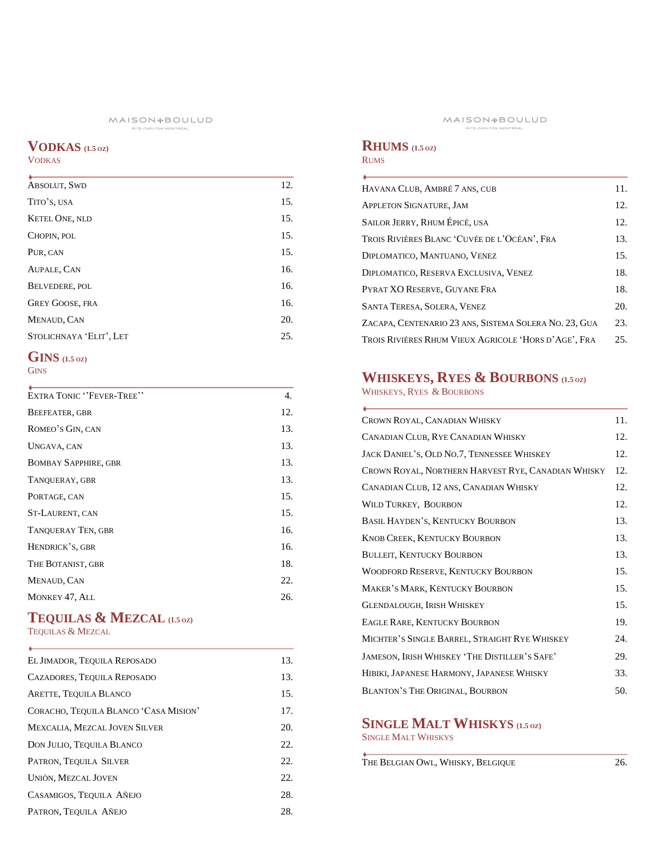## **VODKAS (1.5 OZ )**

## VODKAS

| <b>ABSOLUT, SWD</b>     | 12. |
|-------------------------|-----|
| TITO'S, USA             | 15. |
| <b>KETEL ONE, NLD</b>   | 15. |
| CHOPIN, POL             | 15. |
| PUR, CAN                | 15. |
| AUPALE, CAN             | 16. |
| <b>BELVEDERE, POL</b>   | 16. |
| <b>GREY GOOSE, FRA</b>  | 16. |
| MENAUD, CAN             | 20. |
| STOLICHNAYA 'ELIT', LET | 25. |
|                         |     |

### **GINS (1.5 OZ ) GINS**

| EXTRA TONIC "FEVER-TREE"    | 4.  |
|-----------------------------|-----|
| BEEFEATER, GBR              | 12. |
| ROMEO'S GIN, CAN            | 13. |
| UNGAVA, CAN                 | 13. |
| <b>BOMBAY SAPPHIRE, GBR</b> | 13. |
| TANOUERAY, GBR              | 13. |
| PORTAGE, CAN                | 15. |
| ST-LAURENT, CAN             | 15. |
| <b>TANQUERAY TEN, GBR</b>   | 16. |
| HENDRICK'S, GBR             | 16. |
| THE BOTANIST, GBR           | 18. |
| MENAUD, CAN                 | 22. |
| MONKEY 47, ALL              | 26. |
|                             |     |

## **TEQUILAS & MEZCAL (1.5 OZ )**

TEQUILAS & MEZCAL

 $\overline{a}$ 

| EL JIMADOR, TEQUILA REPOSADO          | 13. |
|---------------------------------------|-----|
| CAZADORES, TEQUILA REPOSADO           | 13. |
| ARETTE, TEQUILA BLANCO                | 15. |
| CORACHO, TEOUILA BLANCO 'CASA MISION' | 17. |
| <b>MEXCALIA, MEZCAL JOVEN SILVER</b>  | 20. |
| DON JULIO, TEQUILA BLANCO             | 22. |
| PATRON, TEQUILA SILVER                | 22. |
| UNIÒN, MEZCAL JOVEN                   | 22. |
| CASAMIGOS, TEQUILA AÑEJO              | 28. |
| PATRON, TEQUILA AÑEJO                 | 28. |

## **RHUMS (1.5 OZ )**

#### RUMS

| HAVANA CLUB, AMBRÉ 7 ANS, CUB                         | 11. |
|-------------------------------------------------------|-----|
| <b>APPLETON SIGNATURE, JAM</b>                        | 12. |
| SAILOR JERRY, RHUM ÉPICÉ, USA                         | 12. |
| Trois Rivières Blanc 'Cuvée de l'Océan', Fra          | 13. |
| DIPLOMATICO, MANTUANO, VENEZ                          | 15. |
| DIPLOMATICO, RESERVA EXCLUSIVA, VENEZ                 | 18. |
| PYRAT XO RESERVE, GUYANE FRA                          | 18. |
| SANTA TERESA, SOLERA, VENEZ                           | 20. |
| ZACAPA, CENTENARIO 23 ANS, SISTEMA SOLERA NO. 23, GUA | 23. |
| TROIS RIVIÈRES RHUM VIEUX AGRICOLE 'HORS D'AGE', FRA  | 25. |

## **WHISKEYS, RYES & BOURBONS** (1.5 OZ)

WHISKEYS, RYES & BOURBONS

| CROWN ROYAL, CANADIAN WHISKY                       | 11. |
|----------------------------------------------------|-----|
| CANADIAN CLUB, RYE CANADIAN WHISKY                 | 12. |
| JACK DANIEL'S, OLD NO.7, TENNESSEE WHISKEY         | 12. |
| CROWN ROYAL, NORTHERN HARVEST RYE, CANADIAN WHISKY | 12. |
| CANADIAN CLUB, 12 ANS, CANADIAN WHISKY             | 12. |
| <b>WILD TURKEY, BOURBON</b>                        | 12. |
| BASIL HAYDEN'S, KENTUCKY BOURBON                   | 13. |
| <b>KNOB CREEK, KENTUCKY BOURBON</b>                | 13. |
| <b>BULLEIT, KENTUCKY BOURBON</b>                   | 13. |
| WOODFORD RESERVE, KENTUCKY BOURBON                 | 15. |
| <b>MAKER'S MARK, KENTUCKY BOURBON</b>              | 15. |
| <b>GLENDALOUGH, IRISH WHISKEY</b>                  | 15. |
| <b>EAGLE RARE, KENTUCKY BOURBON</b>                | 19. |
| MICHTER'S SINGLE BARREL, STRAIGHT RYE WHISKEY      | 24. |
| JAMESON, IRISH WHISKEY 'THE DISTILLER'S SAFE'      | 29. |
| HIBIKI, JAPANESE HARMONY, JAPANESE WHISKY          | 33. |
| <b>BLANTON'S THE ORIGINAL, BOURBON</b>             | 50. |

## **SINGLE MALT WHISKYS (1.5 OZ )**

SINGLE MALT WHISKYS

THE BELGIAN OWL, WHISKY, BELGIQUE 26.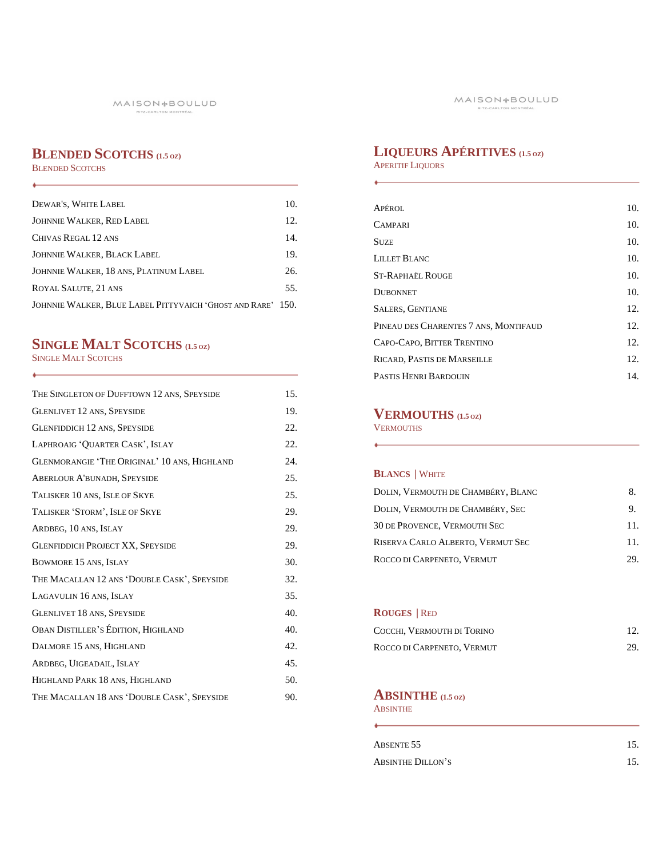# **BLENDED SCOTCHS (1.5 OZ)**

BLENDED SCOTCHS

 $\leftarrow$ 

| DEWAR'S, WHITE LABEL                                        | 10. |
|-------------------------------------------------------------|-----|
|                                                             |     |
| <b>JOHNNIE WALKER, RED LABEL</b>                            | 12. |
| CHIVAS REGAL 12 ANS                                         | 14. |
| <b>JOHNNIE WALKER, BLACK LABEL</b>                          | 19. |
| JOHNNIE WALKER, 18 ANS, PLATINUM LABEL                      | 26. |
| ROYAL SALUTE, 21 ANS                                        | 55. |
| JOHNNIE WALKER, BLUE LABEL PITTYVAICH 'GHOST AND RARE' 150. |     |

# **SINGLE MALT SCOTCHS (1.5 OZ)**

SINGLE MALT SCOTCHS

| THE SINGLETON OF DUFFTOWN 12 ANS, SPEYSIDE   | 15. |
|----------------------------------------------|-----|
| <b>GLENLIVET 12 ANS, SPEYSIDE</b>            | 19. |
| <b>GLENFIDDICH 12 ANS, SPEYSIDE</b>          | 22. |
| LAPHROAIG 'QUARTER CASK', ISLAY              | 22. |
| GLENMORANGIE 'THE ORIGINAL' 10 ANS, HIGHLAND | 24. |
| <b>ABERLOUR A'BUNADH, SPEYSIDE</b>           | 25. |
| TALISKER 10 ANS, ISLE OF SKYE                | 25. |
| TALISKER 'STORM', ISLE OF SKYE               | 29. |
| ARDBEG, 10 ANS, ISLAY                        | 29. |
| <b>GLENFIDDICH PROJECT XX, SPEYSIDE</b>      | 29. |
| BOWMORE 15 ANS, ISLAY                        | 30. |
| THE MACALLAN 12 ANS 'DOUBLE CASK', SPEYSIDE  | 32. |
| LAGAVULIN 16 ANS, ISLAY                      | 35. |
| <b>GLENLIVET 18 ANS, SPEYSIDE</b>            | 40. |
| OBAN DISTILLER'S ÉDITION, HIGHLAND           | 40. |
| DALMORE 15 ANS, HIGHLAND                     | 42. |
| ARDBEG, UIGEADAIL, ISLAY                     | 45. |
| HIGHLAND PARK 18 ANS, HIGHLAND               | 50. |
| THE MACALLAN 18 ANS 'DOUBLE CASK', SPEYSIDE  | 90. |

# **LIQUEURS APÉRITIVES (1.5 OZ)**

APERITIF LIQUORS

| APÉROL                                | 10. |
|---------------------------------------|-----|
| <b>CAMPARI</b>                        | 10. |
| <b>SUZE</b>                           | 10. |
| LILLET BLANC                          | 10. |
| <b>ST-RAPHAËL ROUGE</b>               | 10. |
| <b>DUBONNET</b>                       | 10. |
| <b>SALERS, GENTIANE</b>               | 12. |
| PINEAU DES CHARENTES 7 ANS, MONTIFAUD | 12. |
| CAPO-CAPO, BITTER TRENTINO            | 12. |
| RICARD, PASTIS DE MARSEILLE           | 12. |
| PASTIS HENRI BARDOUIN                 | 14. |

# . **VERMOUTHS (1.5 OZ)**

**VERMOUTHS** 

## **BLANCS |** WHITE

| DOLIN, VERMOUTH DE CHAMBÉRY, BLANC  | 8.  |
|-------------------------------------|-----|
| DOLIN, VERMOUTH DE CHAMBÉRY, SEC    | 9.  |
| <b>30 DE PROVENCE, VERMOUTH SEC</b> | 11. |
| RISERVA CARLO ALBERTO, VERMUT SEC   | 11  |
| ROCCO DI CARPENETO, VERMUT          | 29. |

## **ROUGES |** RED

| COCCHI, VERMOUTH DI TORINO | 12. |
|----------------------------|-----|
| ROCCO DI CARPENETO, VERMUT | 29. |

## **ABSINTHE (1.5 OZ)**

ABSINTHE 

| ABSENTE <sub>55</sub>    | 15. |
|--------------------------|-----|
| <b>ABSINTHE DILLON'S</b> |     |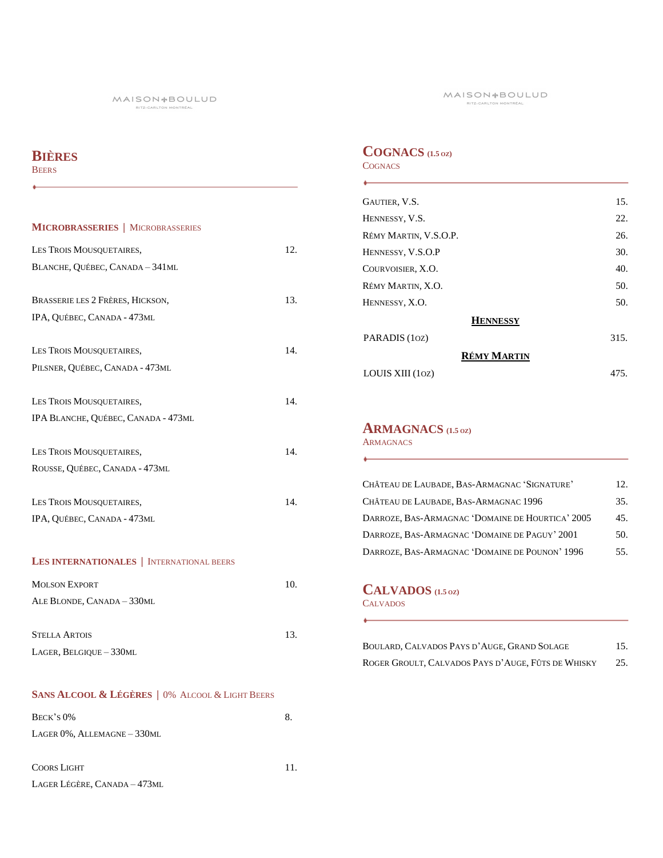# **BIÈRES**

BEERS

 $\ddot{\bullet}$ 

| <b>MICROBRASSERIES</b>   MICROBRASSERIES<br>12.<br>LES TROIS MOUSQUETAIRES,<br>BLANCHE, QUÉBEC, CANADA - 341ML<br>BRASSERIE LES 2 FRÈRES, HICKSON,<br>13.<br>IPA, QUÉBEC, CANADA - 473ML<br>LES TROIS MOUSQUETAIRES,<br>14.<br>PILSNER, QUÉBEC, CANADA - 473ML<br>LES TROIS MOUSQUETAIRES,<br>14.<br>IPA BLANCHE, QUÉBEC, CANADA - 473ML<br>14.<br>LES TROIS MOUSQUETAIRES,<br>ROUSSE, QUÉBEC, CANADA - 473ML<br>14.<br>LES TROIS MOUSQUETAIRES,<br>IPA, QUÉBEC, CANADA - 473ML<br><b>LES INTERNATIONALES</b>   INTERNATIONAL BEERS<br><b>MOLSON EXPORT</b><br>10.<br>ALE BLONDE, CANADA - 330ML<br>13.<br><b>STELLA ARTOIS</b><br>LAGER, BELGIQUE - 330ML |  |
|------------------------------------------------------------------------------------------------------------------------------------------------------------------------------------------------------------------------------------------------------------------------------------------------------------------------------------------------------------------------------------------------------------------------------------------------------------------------------------------------------------------------------------------------------------------------------------------------------------------------------------------------------------|--|
|                                                                                                                                                                                                                                                                                                                                                                                                                                                                                                                                                                                                                                                            |  |
|                                                                                                                                                                                                                                                                                                                                                                                                                                                                                                                                                                                                                                                            |  |
|                                                                                                                                                                                                                                                                                                                                                                                                                                                                                                                                                                                                                                                            |  |
|                                                                                                                                                                                                                                                                                                                                                                                                                                                                                                                                                                                                                                                            |  |
|                                                                                                                                                                                                                                                                                                                                                                                                                                                                                                                                                                                                                                                            |  |
|                                                                                                                                                                                                                                                                                                                                                                                                                                                                                                                                                                                                                                                            |  |
|                                                                                                                                                                                                                                                                                                                                                                                                                                                                                                                                                                                                                                                            |  |
|                                                                                                                                                                                                                                                                                                                                                                                                                                                                                                                                                                                                                                                            |  |
|                                                                                                                                                                                                                                                                                                                                                                                                                                                                                                                                                                                                                                                            |  |
|                                                                                                                                                                                                                                                                                                                                                                                                                                                                                                                                                                                                                                                            |  |
|                                                                                                                                                                                                                                                                                                                                                                                                                                                                                                                                                                                                                                                            |  |
|                                                                                                                                                                                                                                                                                                                                                                                                                                                                                                                                                                                                                                                            |  |
|                                                                                                                                                                                                                                                                                                                                                                                                                                                                                                                                                                                                                                                            |  |
|                                                                                                                                                                                                                                                                                                                                                                                                                                                                                                                                                                                                                                                            |  |
|                                                                                                                                                                                                                                                                                                                                                                                                                                                                                                                                                                                                                                                            |  |
|                                                                                                                                                                                                                                                                                                                                                                                                                                                                                                                                                                                                                                                            |  |
|                                                                                                                                                                                                                                                                                                                                                                                                                                                                                                                                                                                                                                                            |  |
|                                                                                                                                                                                                                                                                                                                                                                                                                                                                                                                                                                                                                                                            |  |
|                                                                                                                                                                                                                                                                                                                                                                                                                                                                                                                                                                                                                                                            |  |
|                                                                                                                                                                                                                                                                                                                                                                                                                                                                                                                                                                                                                                                            |  |
|                                                                                                                                                                                                                                                                                                                                                                                                                                                                                                                                                                                                                                                            |  |
|                                                                                                                                                                                                                                                                                                                                                                                                                                                                                                                                                                                                                                                            |  |
|                                                                                                                                                                                                                                                                                                                                                                                                                                                                                                                                                                                                                                                            |  |
|                                                                                                                                                                                                                                                                                                                                                                                                                                                                                                                                                                                                                                                            |  |
|                                                                                                                                                                                                                                                                                                                                                                                                                                                                                                                                                                                                                                                            |  |

## **SANS ALCOOL & LÉGÈRES |** 0% ALCOOL & LIGHT BEERS

| $BECK'S0\%$                       | 8. |
|-----------------------------------|----|
| LAGER $0\%$ , ALLEMAGNE $-330$ ML |    |
|                                   |    |
| <b>COORS LIGHT</b>                | 11 |

LAGER LÉGÈRE, CANADA – 473ML

## **COGNACS (1.5 OZ) COGNACS**

| GAUTIER, V.S.         | 15.  |
|-----------------------|------|
| HENNESSY, V.S.        | 22.  |
| RÉMY MARTIN, V.S.O.P. | 26.  |
| HENNESSY, V.S.O.P     | 30.  |
| COURVOISIER, X.O.     | 40.  |
| RÉMY MARTIN, X.O.     | 50.  |
| HENNESSY, X.O.        | 50.  |
| <b>HENNESSY</b>       |      |
| PARADIS (10Z)         | 315. |
| <b>RÉMY MARTIN</b>    |      |
| LOUIS XIII (10Z)      | 475. |

## **ARMAGNACS (1.5 OZ)**

**ARMAGNACS** 

| CHÂTEAU DE LAUBADE, BAS-ARMAGNAC 'SIGNATURE'     | 12. |
|--------------------------------------------------|-----|
| CHÂTEAU DE LAUBADE, BAS-ARMAGNAC 1996            | 35. |
| DARROZE, BAS-ARMAGNAC 'DOMAINE DE HOURTICA' 2005 | 45. |
| DARROZE, BAS-ARMAGNAC 'DOMAINE DE PAGUY' 2001    | 50. |
| DARROZE, BAS-ARMAGNAC 'DOMAINE DE POUNON' 1996   | 55. |

## **CALVADOS (1.5 OZ)**

**CALVADOS** 

| BOULARD, CALVADOS PAYS D'AUGE, GRAND SOLAGE        | 15. |
|----------------------------------------------------|-----|
| ROGER GROULT, CALVADOS PAYS D'AUGE, FÛTS DE WHISKY | 25. |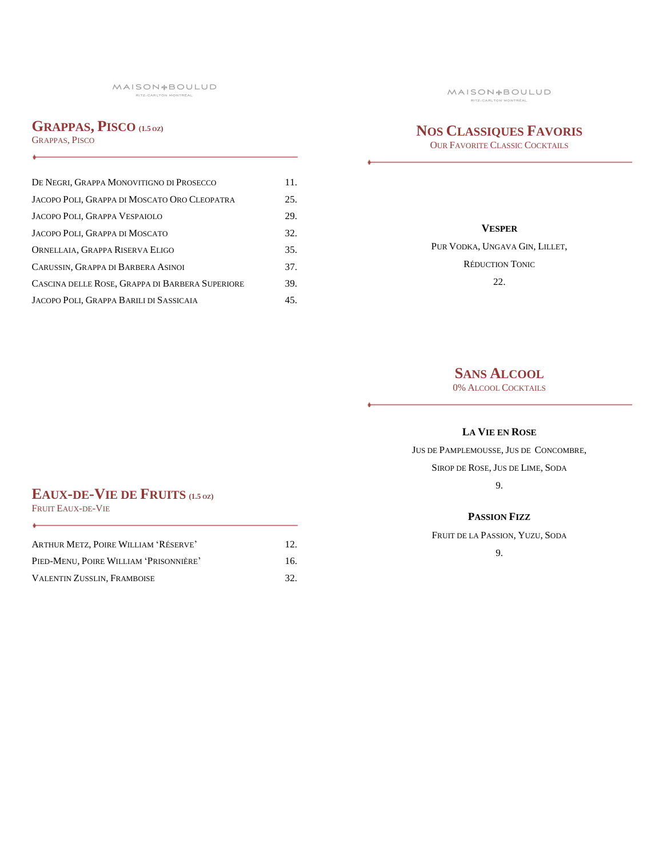## **GRAPPAS, PISCO (1.5 OZ)**

GRAPPAS, PISCO

| DE NEGRI, GRAPPA MONOVITIGNO DI PROSECCO        | 11. |
|-------------------------------------------------|-----|
| JACOPO POLI, GRAPPA DI MOSCATO ORO CLEOPATRA    | 25. |
| JACOPO POLI, GRAPPA VESPAIOLO                   | 29. |
| JACOPO POLI, GRAPPA DI MOSCATO                  | 32. |
| ORNELLAIA, GRAPPA RISERVA ELIGO                 | 35. |
| CARUSSIN, GRAPPA DI BARBERA ASINOI              | 37. |
| CASCINA DELLE ROSE, GRAPPA DI BARBERA SUPERIORE | 39. |
| JACOPO POLI, GRAPPA BARILI DI SASSICAIA         | 45. |

# **NOS CLASSIQUES FAVORIS**

OUR FAVORITE CLASSIC COCKTAILS

#### **VESPER**

PUR VODKA, UNGAVA GIN, LILLET, RÉDUCTION TONIC 22.

# **SANS ALCOOL**

0% ALCOOL COCKTAILS

### **LA VIE EN ROSE**

JUS DE PAMPLEMOUSSE, JUS DE CONCOMBRE,

SIROP DE ROSE, JUS DE LIME, SODA 9.

#### **PASSION FIZZ**

FRUIT DE LA PASSION, YUZU, SODA

9.

# **EAUX-DE-VIE DE FRUITS (1.5 OZ)**

FRUIT EAUX-DE-VIE

٠

| ARTHUR METZ, POIRE WILLIAM 'RÉSERVE'   | 12. |
|----------------------------------------|-----|
| PIED-MENU, POIRE WILLIAM 'PRISONNIÈRE' | 16. |
| <b>VALENTIN ZUSSLIN. FRAMBOISE</b>     | 32. |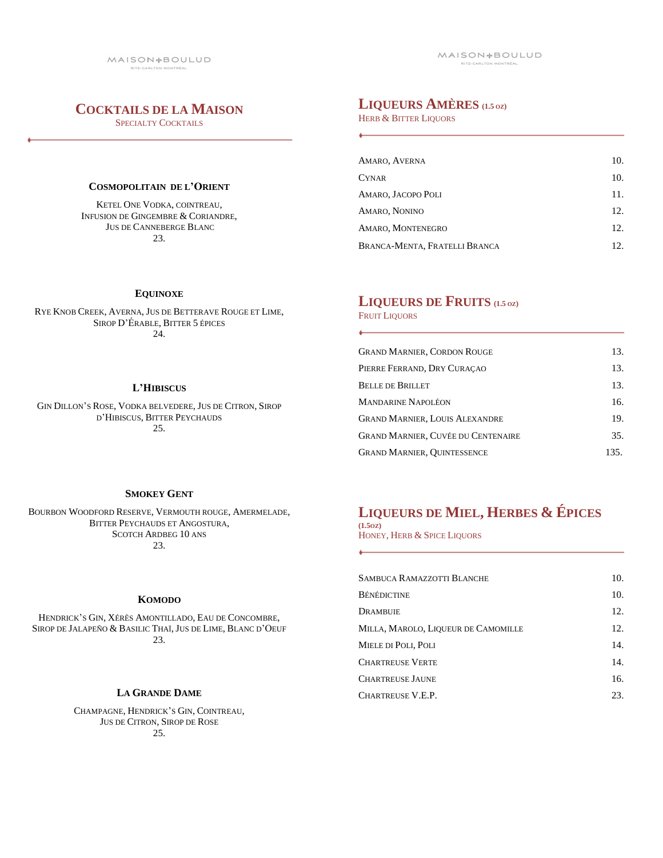## **COCKTAILS DE LA MAISON**

SPECIALTY COCKTAILS

### **COSMOPOLITAIN DE L'ORIENT**

KETEL ONE VODKA, COINTREAU, INFUSION DE GINGEMBRE & CORIANDRE, JUS DE CANNEBERGE BLANC 23.

## **LIQUEURS AMÈRES (1.5 OZ)**

HERB & BITTER LIQUORS

| AMARO, AVERNA                 | 10.             |
|-------------------------------|-----------------|
| <b>CYNAR</b>                  | 10.             |
| AMARO, JACOPO POLI            | 11.             |
| AMARO, NONINO                 | 12.             |
| AMARO, MONTENEGRO             | 12.             |
| BRANCA-MENTA, FRATELLI BRANCA | 12 <sub>1</sub> |

#### **EQUINOXE**

RYE KNOB CREEK, AVERNA, JUS DE BETTERAVE ROUGE ET LIME, SIROP D'ÉRABLE, BITTER 5 ÉPICES 24.

#### **L'HIBISCUS**

GIN DILLON'S ROSE, VODKA BELVEDERE, JUS DE CITRON, SIROP D'HIBISCUS, BITTER PEYCHAUDS 25.

#### **SMOKEY GENT**

BOURBON WOODFORD RESERVE, VERMOUTH ROUGE, AMERMELADE, BITTER PEYCHAUDS ET ANGOSTURA, SCOTCH ARDBEG 10 ANS 23.

#### **KOMODO**

HENDRICK'S GIN, XÉRÈS AMONTILLADO, EAU DE CONCOMBRE, SIROP DE JALAPEÑO & BASILIC THAÏ, JUS DE LIME, BLANC D'OEUF 23.

#### **LA GRANDE DAME**

CHAMPAGNE, HENDRICK'S GIN, COINTREAU, JUS DE CITRON, SIROP DE ROSE 25.

# **LIQUEURS DE FRUITS (1.5 OZ)**

FRUIT LIQUORS

| <b>GRAND MARNIER, CORDON ROUGE</b>        | 13.  |
|-------------------------------------------|------|
| PIERRE FERRAND, DRY CURACAO               | 13.  |
| <b>BELLE DE BRILLET</b>                   | 13.  |
| <b>MANDARINE NAPOLÉON</b>                 | 16.  |
| <b>GRAND MARNIER, LOUIS ALEXANDRE</b>     | 19.  |
| <b>GRAND MARNIER, CUVÉE DU CENTENAIRE</b> | 35.  |
| <b>GRAND MARNIER, OUINTESSENCE</b>        | 135. |

# **LIQUEURS DE MIEL, HERBES & ÉPICES**

**(1.5OZ)** HONEY, HERB & SPICE LIQUORS

| <b>SAMBUCA RAMAZZOTTI BLANCHE</b>   | 10. |
|-------------------------------------|-----|
| <b>BÉNÉDICTINE</b>                  | 10. |
| DRAMBUIE                            | 12. |
| MILLA, MAROLO, LIQUEUR DE CAMOMILLE | 12. |
| MIELE DI POLI, POLI                 | 14. |
| <b>CHARTREUSE VERTE</b>             | 14. |
| <b>CHARTREUSE JAUNE</b>             | 16. |
| CHARTREUSE V.E.P.                   | 23. |